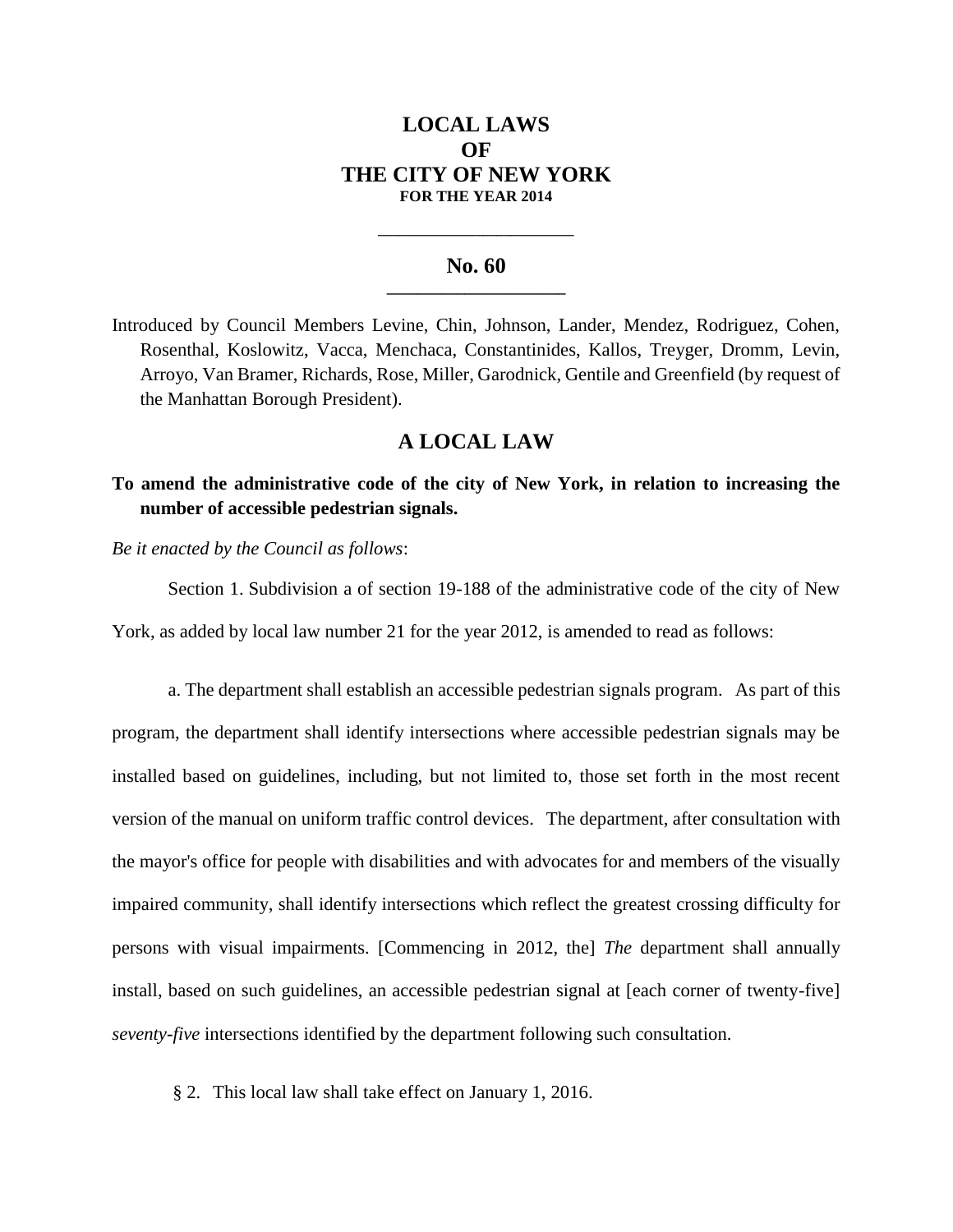# **LOCAL LAWS OF THE CITY OF NEW YORK FOR THE YEAR 2014**

### **No. 60 \_\_\_\_\_\_\_\_\_\_\_\_\_\_\_\_\_\_\_\_\_\_\_**

**\_\_\_\_\_\_\_\_\_\_\_\_\_\_\_\_\_\_\_\_\_\_\_\_\_\_\_\_**

Introduced by Council Members Levine, Chin, Johnson, Lander, Mendez, Rodriguez, Cohen, Rosenthal, Koslowitz, Vacca, Menchaca, Constantinides, Kallos, Treyger, Dromm, Levin, Arroyo, Van Bramer, Richards, Rose, Miller, Garodnick, Gentile and Greenfield (by request of the Manhattan Borough President).

## **A LOCAL LAW**

**To amend the administrative code of the city of New York, in relation to increasing the number of accessible pedestrian signals.**

*Be it enacted by the Council as follows*:

Section 1. Subdivision a of section 19-188 of the administrative code of the city of New York, as added by local law number 21 for the year 2012, is amended to read as follows:

a. The department shall establish an accessible pedestrian signals program. As part of this program, the department shall identify intersections where accessible pedestrian signals may be installed based on guidelines, including, but not limited to, those set forth in the most recent version of the manual on uniform traffic control devices. The department, after consultation with the mayor's office for people with disabilities and with advocates for and members of the visually impaired community, shall identify intersections which reflect the greatest crossing difficulty for persons with visual impairments. [Commencing in 2012, the] *The* department shall annually install, based on such guidelines, an accessible pedestrian signal at [each corner of twenty-five] *seventy-five* intersections identified by the department following such consultation.

§ 2. This local law shall take effect on January 1, 2016.